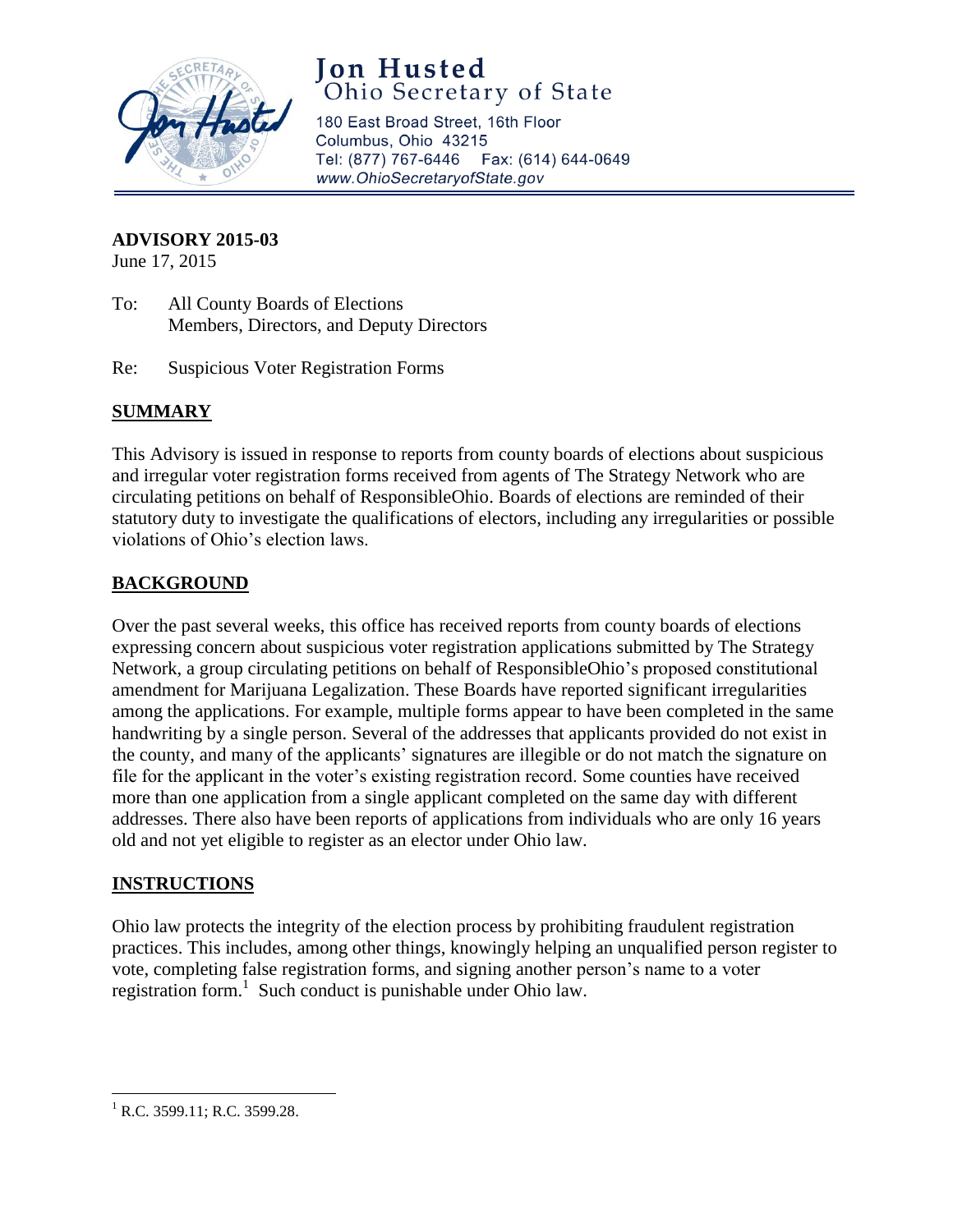

# Jon Husted<br>Ohio Secretary of State

180 East Broad Street, 16th Floor Columbus, Ohio 43215 Tel: (877) 767-6446 Fax: (614) 644-0649 www.OhioSecretaryofState.gov

#### **ADVISORY 2015-03**

June 17, 2015

- To: All County Boards of Elections Members, Directors, and Deputy Directors
- Re: Suspicious Voter Registration Forms

## **SUMMARY**

This Advisory is issued in response to reports from county boards of elections about suspicious and irregular voter registration forms received from agents of The Strategy Network who are circulating petitions on behalf of ResponsibleOhio. Boards of elections are reminded of their statutory duty to investigate the qualifications of electors, including any irregularities or possible violations of Ohio's election laws.

## **BACKGROUND**

Over the past several weeks, this office has received reports from county boards of elections expressing concern about suspicious voter registration applications submitted by The Strategy Network, a group circulating petitions on behalf of ResponsibleOhio's proposed constitutional amendment for Marijuana Legalization. These Boards have reported significant irregularities among the applications. For example, multiple forms appear to have been completed in the same handwriting by a single person. Several of the addresses that applicants provided do not exist in the county, and many of the applicants' signatures are illegible or do not match the signature on file for the applicant in the voter's existing registration record. Some counties have received more than one application from a single applicant completed on the same day with different addresses. There also have been reports of applications from individuals who are only 16 years old and not yet eligible to register as an elector under Ohio law.

#### **INSTRUCTIONS**

Ohio law protects the integrity of the election process by prohibiting fraudulent registration practices. This includes, among other things, knowingly helping an unqualified person register to vote, completing false registration forms, and signing another person's name to a voter registration form.<sup>1</sup> Such conduct is punishable under Ohio law.

 $\overline{\phantom{a}}$ 

 $^{1}$  R.C. 3599.11; R.C. 3599.28.